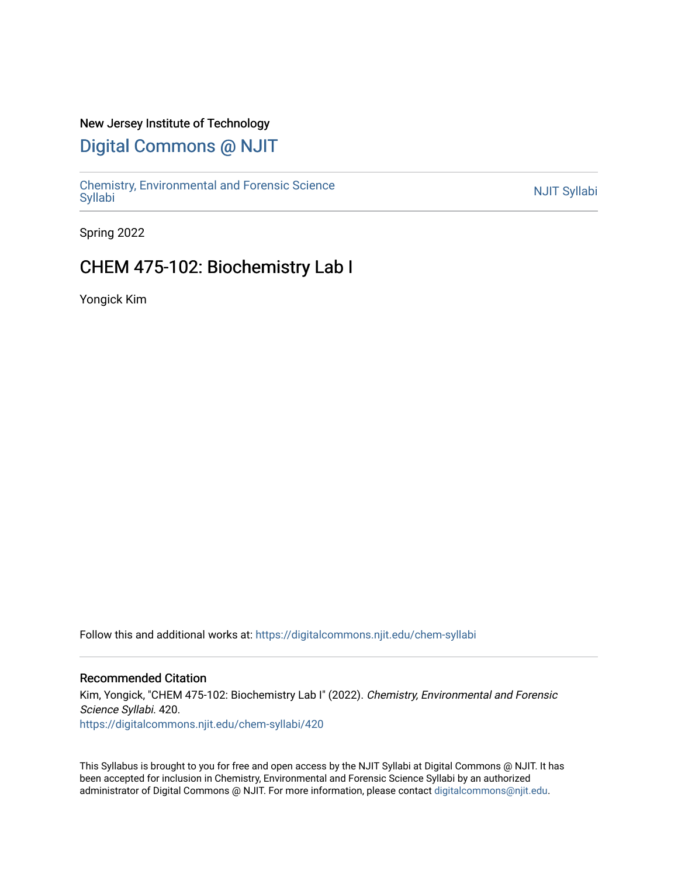### New Jersey Institute of Technology

# [Digital Commons @ NJIT](https://digitalcommons.njit.edu/)

Chemistry, Environmental and Forensic Science<br>Syllabi

Spring 2022

## CHEM 475-102: Biochemistry Lab I

Yongick Kim

Follow this and additional works at: [https://digitalcommons.njit.edu/chem-syllabi](https://digitalcommons.njit.edu/chem-syllabi?utm_source=digitalcommons.njit.edu%2Fchem-syllabi%2F420&utm_medium=PDF&utm_campaign=PDFCoverPages) 

#### Recommended Citation

Kim, Yongick, "CHEM 475-102: Biochemistry Lab I" (2022). Chemistry, Environmental and Forensic Science Syllabi. 420. [https://digitalcommons.njit.edu/chem-syllabi/420](https://digitalcommons.njit.edu/chem-syllabi/420?utm_source=digitalcommons.njit.edu%2Fchem-syllabi%2F420&utm_medium=PDF&utm_campaign=PDFCoverPages) 

This Syllabus is brought to you for free and open access by the NJIT Syllabi at Digital Commons @ NJIT. It has been accepted for inclusion in Chemistry, Environmental and Forensic Science Syllabi by an authorized administrator of Digital Commons @ NJIT. For more information, please contact [digitalcommons@njit.edu.](mailto:digitalcommons@njit.edu)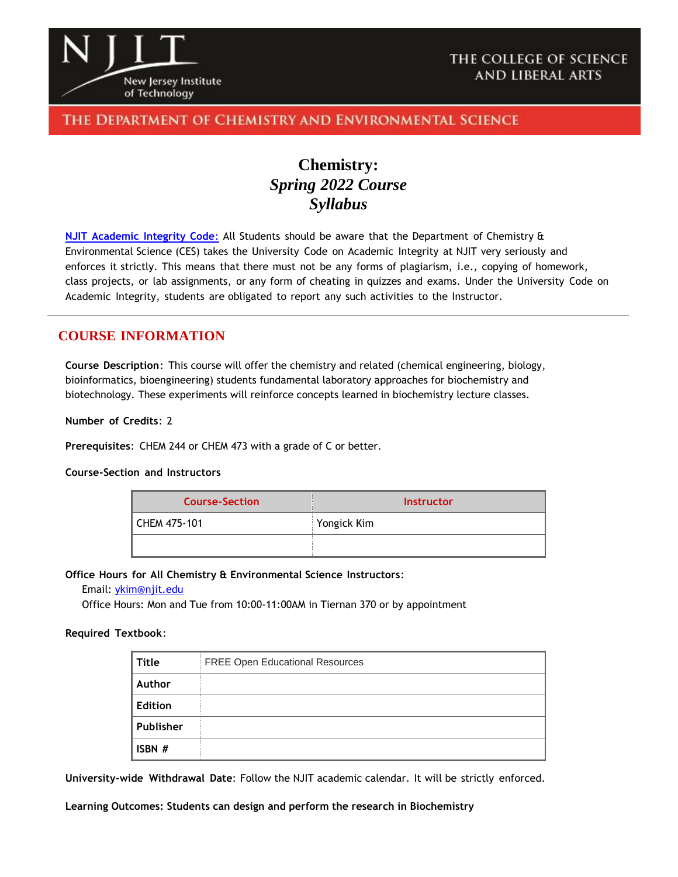

### THE DEPARTMENT OF CHEMISTRY AND ENVIRONMENTAL SCIENCE

# **Chemistry:** *Spring 2022 Course Syllabus*

**NJIT [Academic](https://www.njit.edu/policies/sites/policies/files/academic-integrity-code.pdf) Integrity Code**: All Students should be aware that the Department of Chemistry & Environmental Science (CES) takes the University Code on Academic Integrity at NJIT very seriously and enforces it strictly. This means that there must not be any forms of plagiarism, i.e., copying of homework, class projects, or lab assignments, or any form of cheating in quizzes and exams. Under the University Code on Academic Integrity, students are obligated to report any such activities to the Instructor.

### **COURSE INFORMATION**

**Course Description**: This course will offer the chemistry and related (chemical engineering, biology, bioinformatics, bioengineering) students fundamental laboratory approaches for biochemistry and biotechnology. These experiments will reinforce concepts learned in biochemistry lecture classes.

#### **Number of Credits**: 2

**Prerequisites**: CHEM 244 or CHEM 473 with a grade of C or better.

#### **Course-Section and Instructors**

| <b>Course-Section</b> | <b>Instructor</b> |  |
|-----------------------|-------------------|--|
| CHEM 475-101          | Yongick Kim       |  |
|                       |                   |  |

#### **Office Hours for All Chemistry & Environmental Science Instructors**:

#### Email: [ykim@njit.edu](mailto:ykim@njit.edu)

Office Hours: Mon and Tue from 10:00-11:00AM in Tiernan 370 or by appointment

#### **Required Textbook**:

| Title          | FREE Open Educational Resources |
|----------------|---------------------------------|
| Author         |                                 |
| <b>Edition</b> |                                 |
| Publisher      |                                 |
| ISBN #         |                                 |

**University-wide Withdrawal Date**: Follow the NJIT academic calendar. It will be strictly enforced.

**Learning Outcomes: Students can design and perform the research in Biochemistry**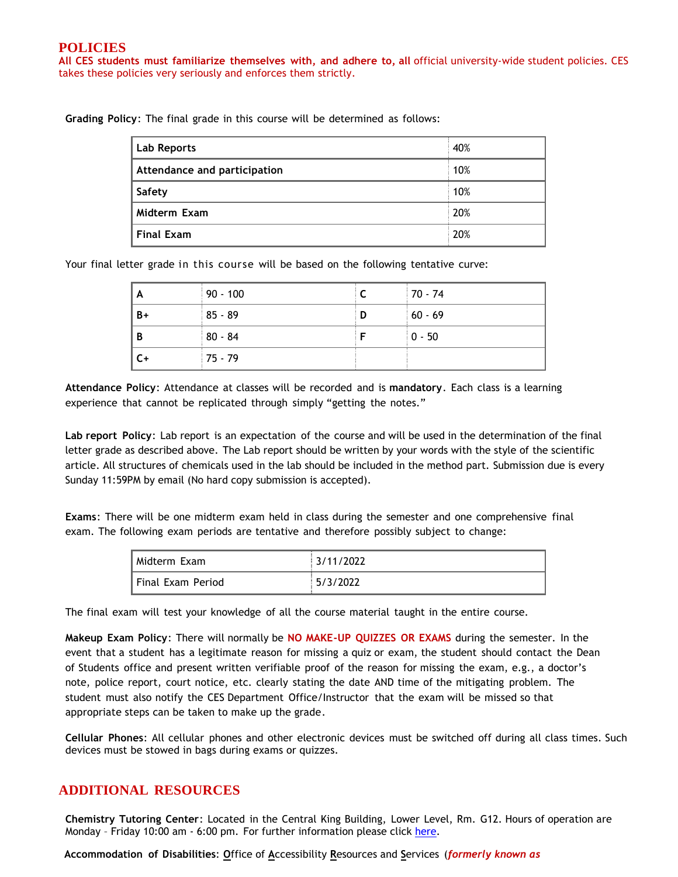#### **POLICIES**

**All CES students must familiarize themselves with, and adhere to, all** official university-wide student policies. CES takes these policies very seriously and enforces them strictly.

**Grading Policy**: The final grade in this course will be determined as follows:

| <b>Lab Reports</b>           | 40% |
|------------------------------|-----|
| Attendance and participation | 10% |
| Safety                       | 10% |
| Midterm Exam                 | 20% |
| <b>Final Exam</b>            | 20% |

Your final letter grade in this course will be based on the following tentative curve:

| A    | $90 - 100$ |   | $170 - 74$ |
|------|------------|---|------------|
| $B+$ | 85 - 89    | D | $60 - 69$  |
| B    | $80 - 84$  |   | $ 0 - 50 $ |
| C+   | 75 - 79    |   |            |

**Attendance Policy**: Attendance at classes will be recorded and is **mandatory**. Each class is a learning experience that cannot be replicated through simply "getting the notes."

**Lab report Policy**: Lab report is an expectation of the course and will be used in the determination of the final letter grade as described above. The Lab report should be written by your words with the style of the scientific article. All structures of chemicals used in the lab should be included in the method part. Submission due is every Sunday 11:59PM by email (No hard copy submission is accepted).

**Exams**: There will be one midterm exam held in class during the semester and one comprehensive final exam. The following exam periods are tentative and therefore possibly subject to change:

| l Midterm Exam    | 3/11/2022 |
|-------------------|-----------|
| Final Exam Period | 15/3/2022 |

The final exam will test your knowledge of all the course material taught in the entire course.

**Makeup Exam Policy**: There will normally be **NO MAKE-UP QUIZZES OR EXAMS** during the semester. In the event that a student has a legitimate reason for missing a quiz or exam, the student should contact the Dean of Students office and present written verifiable proof of the reason for missing the exam, e.g., a doctor's note, police report, court notice, etc. clearly stating the date AND time of the mitigating problem. The student must also notify the CES Department Office/Instructor that the exam will be missed so that appropriate steps can be taken to make up the grade.

**Cellular Phones**: All cellular phones and other electronic devices must be switched off during all class times. Such devices must be stowed in bags during exams or quizzes.

#### **ADDITIONAL RESOURCES**

**Chemistry Tutoring Center**: Located in the Central King Building, Lower Level, Rm. G12. Hours of operation are Monday - Friday 10:00 am - 6:00 pm. For further information please click [here.](http://chemistry.njit.edu/students/)

**Accommodation of Disabilities**: **O**ffice of **A**ccessibility **R**esources and **S**ervices (*formerly known as*